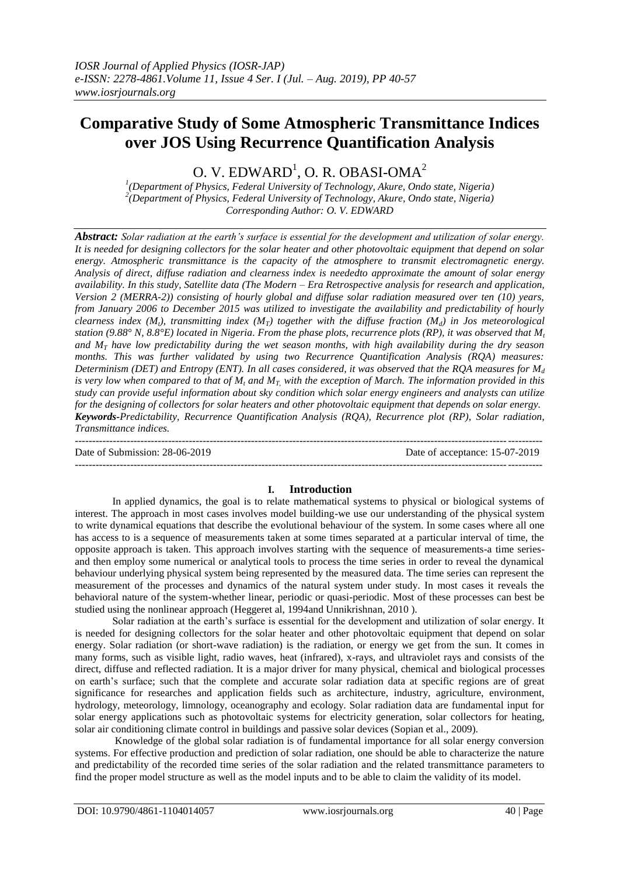# **Comparative Study of Some Atmospheric Transmittance Indices over JOS Using Recurrence Quantification Analysis**

O. V.  $EDWARD$ <sup>1</sup>, O. R. OBASI-OMA<sup>2</sup>

*1 (Department of Physics, Federal University of Technology, Akure, Ondo state, Nigeria) 2 (Department of Physics, Federal University of Technology, Akure, Ondo state, Nigeria) Corresponding Author: O. V. EDWARD*

*Abstract: Solar radiation at the earth's surface is essential for the development and utilization of solar energy. It is needed for designing collectors for the solar heater and other photovoltaic equipment that depend on solar energy. Atmospheric transmittance is the capacity of the atmosphere to transmit electromagnetic energy. Analysis of direct, diffuse radiation and clearness index is neededto approximate the amount of solar energy availability. In this study, Satellite data (The Modern – Era Retrospective analysis for research and application, Version 2 (MERRA-2)) consisting of hourly global and diffuse solar radiation measured over ten (10) years, from January 2006 to December 2015 was utilized to investigate the availability and predictability of hourly clearness index (Mt), transmitting index (MT) together with the diffuse fraction (Md) in Jos meteorological station (9.88° N, 8.8°E) located in Nigeria. From the phase plots, recurrence plots (RP), it was observed that M<sup>t</sup>* and  $M_T$  have low predictability during the wet season months, with high availability during the dry season *months. This was further validated by using two Recurrence Quantification Analysis (RQA) measures: Determinism (DET) and Entropy (ENT). In all cases considered, it was observed that the RQA measures for M<sup>d</sup> is very low when compared to that of M<sup>t</sup> and MT, with the exception of March. The information provided in this study can provide useful information about sky condition which solar energy engineers and analysts can utilize for the designing of collectors for solar heaters and other photovoltaic equipment that depends on solar energy. Keywords-Predictability, Recurrence Quantification Analysis (RQA), Recurrence plot (RP), Solar radiation, Transmittance indices.*

| Date of Submission: 28-06-2019 | Date of acceptance: 15-07-2019 |
|--------------------------------|--------------------------------|
|                                |                                |

# **I. Introduction**

In applied dynamics, the goal is to relate mathematical systems to physical or biological systems of interest. The approach in most cases involves model building-we use our understanding of the physical system to write dynamical equations that describe the evolutional behaviour of the system. In some cases where all one has access to is a sequence of measurements taken at some times separated at a particular interval of time, the opposite approach is taken. This approach involves starting with the sequence of measurements-a time seriesand then employ some numerical or analytical tools to process the time series in order to reveal the dynamical behaviour underlying physical system being represented by the measured data. The time series can represent the measurement of the processes and dynamics of the natural system under study. In most cases it reveals the behavioral nature of the system-whether linear, periodic or quasi-periodic. Most of these processes can best be studied using the nonlinear approach (Heggeret al, 1994and Unnikrishnan, 2010 ).

Solar radiation at the earth's surface is essential for the development and utilization of solar energy. It is needed for designing collectors for the solar heater and other photovoltaic equipment that depend on solar energy. Solar radiation (or short-wave radiation) is the radiation, or energy we get from the sun. It comes in many forms, such as visible light, radio waves, heat (infrared), x-rays, and ultraviolet rays and consists of the direct, diffuse and reflected radiation. It is a major driver for many physical, chemical and biological processes on earth's surface; such that the complete and accurate solar radiation data at specific regions are of great significance for researches and application fields such as architecture, industry, agriculture, environment, hydrology, meteorology, limnology, oceanography and ecology. Solar radiation data are fundamental input for solar energy applications such as photovoltaic systems for electricity generation, solar collectors for heating, solar air conditioning climate control in buildings and passive solar devices (Sopian et al., 2009).

Knowledge of the global solar radiation is of fundamental importance for all solar energy conversion systems. For effective production and prediction of solar radiation, one should be able to characterize the nature and predictability of the recorded time series of the solar radiation and the related transmittance parameters to find the proper model structure as well as the model inputs and to be able to claim the validity of its model.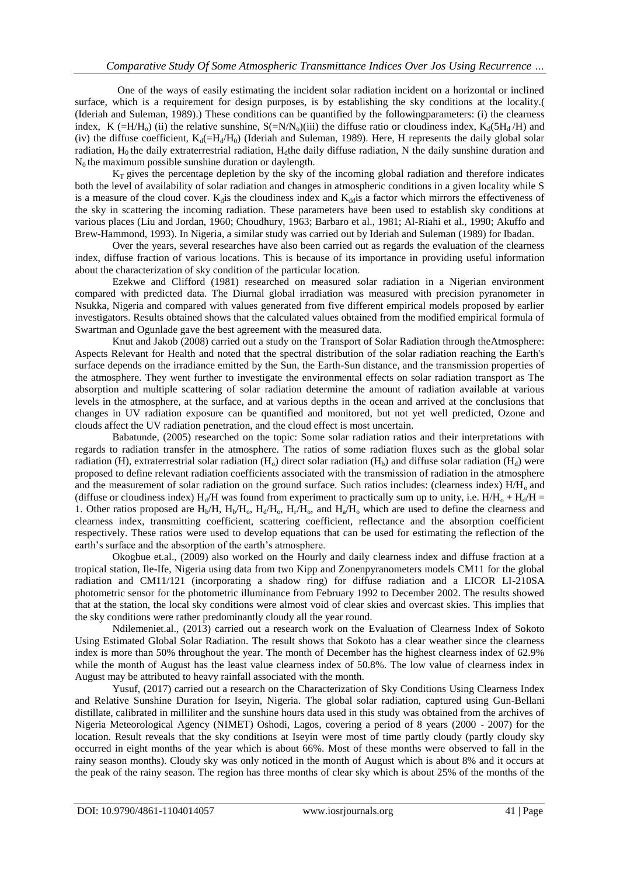One of the ways of easily estimating the incident solar radiation incident on a horizontal or inclined surface, which is a requirement for design purposes, is by establishing the sky conditions at the locality.( (Ideriah and Suleman, 1989).) These conditions can be quantified by the followingparameters: (i) the clearness index, K (=H/H<sub>o</sub>) (ii) the relative sunshine,  $S(=N/N_0)(iii)$  the diffuse ratio or cloudiness index, K<sub>d</sub>(5H<sub>d</sub>/H) and (iv) the diffuse coefficient,  $K_d(=H_d/H_0)$  (Ideriah and Suleman, 1989). Here, H represents the daily global solar radiation,  $H_0$  the daily extraterrestrial radiation,  $H_d$ the daily diffuse radiation, N the daily sunshine duration and  $N_0$  the maximum possible sunshine duration or daylength.

 $K_T$  gives the percentage depletion by the sky of the incoming global radiation and therefore indicates both the level of availability of solar radiation and changes in atmospheric conditions in a given locality while S is a measure of the cloud cover.  $K<sub>d</sub>$  is the cloudiness index and  $K<sub>d</sub>$  a factor which mirrors the effectiveness of the sky in scattering the incoming radiation. These parameters have been used to establish sky conditions at various places (Liu and Jordan, 1960; Choudhury, 1963; Barbaro et al., 1981; Al-Riahi et al., 1990; Akuffo and Brew-Hammond, 1993). In Nigeria, a similar study was carried out by Ideriah and Suleman (1989) for Ibadan.

Over the years, several researches have also been carried out as regards the evaluation of the clearness index, diffuse fraction of various locations. This is because of its importance in providing useful information about the characterization of sky condition of the particular location.

Ezekwe and Clifford (1981) researched on measured solar radiation in a Nigerian environment compared with predicted data. The Diurnal global irradiation was measured with precision pyranometer in Nsukka, Nigeria and compared with values generated from five different empirical models proposed by earlier investigators. Results obtained shows that the calculated values obtained from the modified empirical formula of Swartman and Ogunlade gave the best agreement with the measured data.

Knut and Jakob (2008) carried out a study on the Transport of Solar Radiation through theAtmosphere: Aspects Relevant for Health and noted that the spectral distribution of the solar radiation reaching the Earth's surface depends on the irradiance emitted by the Sun, the Earth-Sun distance, and the transmission properties of the atmosphere. They went further to investigate the environmental effects on solar radiation transport as The absorption and multiple scattering of solar radiation determine the amount of radiation available at various levels in the atmosphere, at the surface, and at various depths in the ocean and arrived at the conclusions that changes in UV radiation exposure can be quantified and monitored, but not yet well predicted, Ozone and clouds affect the UV radiation penetration, and the cloud effect is most uncertain.

Babatunde, (2005) researched on the topic: Some solar radiation ratios and their interpretations with regards to radiation transfer in the atmosphere. The ratios of some radiation fluxes such as the global solar radiation (H), extraterrestrial solar radiation (H<sub>0</sub>) direct solar radiation (H<sub>b</sub>) and diffuse solar radiation (H<sub>d</sub>) were proposed to define relevant radiation coefficients associated with the transmission of radiation in the atmosphere and the measurement of solar radiation on the ground surface. Such ratios includes: (clearness index)  $H/H_0$  and (diffuse or cloudiness index)  $H_d/H$  was found from experiment to practically sum up to unity, i.e.  $H/H_0 + H_d/H =$ 1. Other ratios proposed are  $H_b/H$ ,  $H_b/H_o$ ,  $H_d/H_o$ ,  $H_r/H_o$ , and  $H_a/H_o$  which are used to define the clearness and clearness index, transmitting coefficient, scattering coefficient, reflectance and the absorption coefficient respectively. These ratios were used to develop equations that can be used for estimating the reflection of the earth's surface and the absorption of the earth's atmosphere.

Okogbue et.al., (2009) also worked on the Hourly and daily clearness index and diffuse fraction at a tropical station, Ile-Ife, Nigeria using data from two Kipp and Zonenpyranometers models CM11 for the global radiation and CM11/121 (incorporating a shadow ring) for diffuse radiation and a LICOR LI-210SA photometric sensor for the photometric illuminance from February 1992 to December 2002. The results showed that at the station, the local sky conditions were almost void of clear skies and overcast skies. This implies that the sky conditions were rather predominantly cloudy all the year round.

Ndilemeniet.al., (2013) carried out a research work on the Evaluation of Clearness Index of Sokoto Using Estimated Global Solar Radiation. The result shows that Sokoto has a clear weather since the clearness index is more than 50% throughout the year. The month of December has the highest clearness index of 62.9% while the month of August has the least value clearness index of 50.8%. The low value of clearness index in August may be attributed to heavy rainfall associated with the month.

Yusuf, (2017) carried out a research on the Characterization of Sky Conditions Using Clearness Index and Relative Sunshine Duration for Iseyin, Nigeria. The global solar radiation, captured using Gun-Bellani distillate, calibrated in milliliter and the sunshine hours data used in this study was obtained from the archives of Nigeria Meteorological Agency (NIMET) Oshodi, Lagos, covering a period of 8 years (2000 - 2007) for the location. Result reveals that the sky conditions at Iseyin were most of time partly cloudy (partly cloudy sky occurred in eight months of the year which is about 66%. Most of these months were observed to fall in the rainy season months). Cloudy sky was only noticed in the month of August which is about 8% and it occurs at the peak of the rainy season. The region has three months of clear sky which is about 25% of the months of the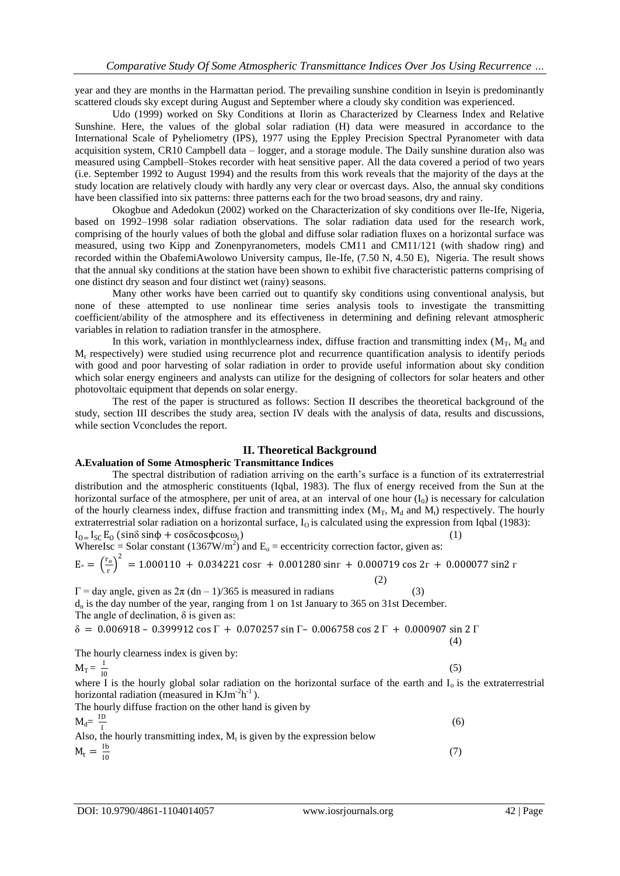year and they are months in the Harmattan period. The prevailing sunshine condition in Iseyin is predominantly scattered clouds sky except during August and September where a cloudy sky condition was experienced.

Udo (1999) worked on Sky Conditions at Ilorin as Characterized by Clearness Index and Relative Sunshine. Here, the values of the global solar radiation (H) data were measured in accordance to the International Scale of Pyheliometry (IPS), 1977 using the Eppley Precision Spectral Pyranometer with data acquisition system, CR10 Campbell data – logger, and a storage module. The Daily sunshine duration also was measured using Campbell–Stokes recorder with heat sensitive paper. All the data covered a period of two years (i.e. September 1992 to August 1994) and the results from this work reveals that the majority of the days at the study location are relatively cloudy with hardly any very clear or overcast days. Also, the annual sky conditions have been classified into six patterns: three patterns each for the two broad seasons, dry and rainy.

Okogbue and Adedokun (2002) worked on the Characterization of sky conditions over Ile-Ife, Nigeria, based on 1992–1998 solar radiation observations. The solar radiation data used for the research work, comprising of the hourly values of both the global and diffuse solar radiation fluxes on a horizontal surface was measured, using two Kipp and Zonenpyranometers, models CM11 and CM11/121 (with shadow ring) and recorded within the ObafemiAwolowo University campus, Ile-Ife, (7.50 N, 4.50 E), Nigeria. The result shows that the annual sky conditions at the station have been shown to exhibit five characteristic patterns comprising of one distinct dry season and four distinct wet (rainy) seasons.

Many other works have been carried out to quantify sky conditions using conventional analysis, but none of these attempted to use nonlinear time series analysis tools to investigate the transmitting coefficient/ability of the atmosphere and its effectiveness in determining and defining relevant atmospheric variables in relation to radiation transfer in the atmosphere.

In this work, variation in monthlyclearness index, diffuse fraction and transmitting index  $(M_T, M_d$  and M<sup>t</sup> respectively) were studied using recurrence plot and recurrence quantification analysis to identify periods with good and poor harvesting of solar radiation in order to provide useful information about sky condition which solar energy engineers and analysts can utilize for the designing of collectors for solar heaters and other photovoltaic equipment that depends on solar energy.

The rest of the paper is structured as follows: Section II describes the theoretical background of the study, section III describes the study area, section IV deals with the analysis of data, results and discussions, while section Vconcludes the report.

# **II. Theoretical Background**

# **A.Evaluation of Some Atmospheric Transmittance Indices**

The spectral distribution of radiation arriving on the earth's surface is a function of its extraterrestrial distribution and the atmospheric constituents (Iqbal, 1983). The flux of energy received from the Sun at the horizontal surface of the atmosphere, per unit of area, at an interval of one hour  $(I_0)$  is necessary for calculation of the hourly clearness index, diffuse fraction and transmitting index  $(M_T, M_d$  and  $M_t$ ) respectively. The hourly extraterrestrial solar radiation on a horizontal surface,  $I_0$  is calculated using the expression from Iqbal (1983):  $I_{0}$ = I<sub>SC</sub> E<sub>0</sub> (sinδ sinφ + cosδcosφcosω<sub>i</sub>)  $)$  (1)

WhereIsc = Solar constant 
$$
(1367 \text{W/m}^2)
$$
 and E<sub>o</sub> = eccentricity correction factor, given as:  
\n
$$
E_o = \left(\frac{r_o}{r}\right)^2 = 1.000110 + 0.034221 \text{ cosr} + 0.001280 \text{ sinr} + 0.000719 \text{ cos } 2r + 0.000077 \text{ sin } 2r
$$
\n(2)

 $\Gamma$  = day angle, given as  $2\pi (dn - 1)/365$  is measured in radians (3)  $d_n$  is the day number of the year, ranging from 1 on 1st January to 365 on 31st December. The angle of declination,  $\delta$  is given as:

$$
\delta = 0.006918 - 0.399912 \cos \Gamma + 0.070257 \sin \Gamma - 0.006758 \cos 2\Gamma + 0.000907 \sin 2\Gamma
$$
\n(4)

The hourly clearness index is given by:

$$
M_T = \frac{I}{10}
$$

where I is the hourly global solar radiation on the horizontal surface of the earth and  $I_0$  is the extraterrestrial horizontal radiation (measured in  $KJm^{-2}h^{-1}$ ).

The hourly diffuse fraction on the other hand is given by  $M_d = \frac{ID}{I}$ I

Also, the hourly transmitting index, M<sub>t</sub> is given by the expression below  
\n
$$
M_t = \frac{lb}{10}
$$
\n(7)

(5)

(6)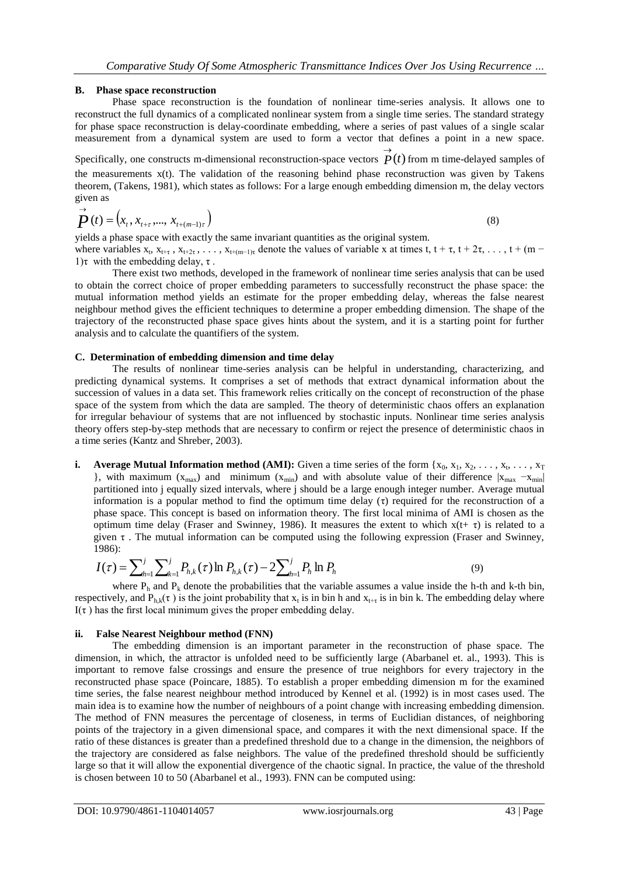# **B. Phase space reconstruction**

Phase space reconstruction is the foundation of nonlinear time-series analysis. It allows one to reconstruct the full dynamics of a complicated nonlinear system from a single time series. The standard strategy for phase space reconstruction is delay-coordinate embedding, where a series of past values of a single scalar measurement from a dynamical system are used to form a vector that defines a point in a new space.

Specifically, one constructs m-dimensional reconstruction-space vectors  $\overrightarrow{P}(t)$ from m time-delayed samples of the measurements  $x(t)$ . The validation of the reasoning behind phase reconstruction was given by Takens theorem, (Takens, 1981), which states as follows: For a large enough embedding dimension m, the delay vectors given as

$$
\vec{P}(t) = (x_t, x_{t+\tau}, \dots, x_{t+(m-1)\tau})
$$
\n(8)

yields a phase space with exactly the same invariant quantities as the original system.

where variables  $x_t$ ,  $x_{t+\tau}$ ,  $x_{t+2\tau}$ , ...,  $x_{t+(m-1)\tau}$  denote the values of variable x at times t,  $t+\tau$ ,  $t+2\tau$ , ...,  $t+(m-\tau)$ 1) τ with the embedding delay,  $\tau$ .

There exist two methods, developed in the framework of nonlinear time series analysis that can be used to obtain the correct choice of proper embedding parameters to successfully reconstruct the phase space: the mutual information method yields an estimate for the proper embedding delay, whereas the false nearest neighbour method gives the efficient techniques to determine a proper embedding dimension. The shape of the trajectory of the reconstructed phase space gives hints about the system, and it is a starting point for further analysis and to calculate the quantifiers of the system.

# **C. Determination of embedding dimension and time delay**

The results of nonlinear time-series analysis can be helpful in understanding, characterizing, and predicting dynamical systems. It comprises a set of methods that extract dynamical information about the succession of values in a data set. This framework relies critically on the concept of reconstruction of the phase space of the system from which the data are sampled. The theory of deterministic chaos offers an explanation for irregular behaviour of systems that are not influenced by stochastic inputs. Nonlinear time series analysis theory offers step-by-step methods that are necessary to confirm or reject the presence of deterministic chaos in a time series (Kantz and Shreber, 2003).

**i.** Average Mutual Information method (AMI): Given a time series of the form  $\{x_0, x_1, x_2, \ldots, x_t, \ldots, x_T\}$ }, with maximum ( $x_{max}$ ) and minimum ( $x_{min}$ ) and with absolute value of their difference  $|x_{max} - x_{min}|$ partitioned into j equally sized intervals, where j should be a large enough integer number. Average mutual information is a popular method to find the optimum time delay  $(\tau)$  required for the reconstruction of a phase space. This concept is based on information theory. The first local minima of AMI is chosen as the optimum time delay (Fraser and Swinney, 1986). It measures the extent to which  $x(t+\tau)$  is related to a given τ . The mutual information can be computed using the following expression (Fraser and Swinney, 1986):

$$
I(\tau) = \sum_{h=1}^{j} \sum_{k=1}^{j} P_{h,k}(\tau) \ln P_{h,k}(\tau) - 2 \sum_{h=1}^{j} P_h \ln P_h
$$
 (9)

where  $P_h$  and  $P_k$  denote the probabilities that the variable assumes a value inside the h-th and k-th bin, respectively, and  $P_{h,k}(\tau)$  is the joint probability that  $x_t$  is in bin h and  $x_{t+\tau}$  is in bin k. The embedding delay where I(τ) has the first local minimum gives the proper embedding delay.

# **ii. False Nearest Neighbour method (FNN)**

The embedding dimension is an important parameter in the reconstruction of phase space. The dimension, in which, the attractor is unfolded need to be sufficiently large (Abarbanel et. al., 1993). This is important to remove false crossings and ensure the presence of true neighbors for every trajectory in the reconstructed phase space (Poincare, 1885). To establish a proper embedding dimension m for the examined time series, the false nearest neighbour method introduced by Kennel et al. (1992) is in most cases used. The main idea is to examine how the number of neighbours of a point change with increasing embedding dimension. The method of FNN measures the percentage of closeness, in terms of Euclidian distances, of neighboring points of the trajectory in a given dimensional space, and compares it with the next dimensional space. If the ratio of these distances is greater than a predefined threshold due to a change in the dimension, the neighbors of the trajectory are considered as false neighbors. The value of the predefined threshold should be sufficiently large so that it will allow the exponential divergence of the chaotic signal. In practice, the value of the threshold is chosen between 10 to 50 (Abarbanel et al., 1993). FNN can be computed using: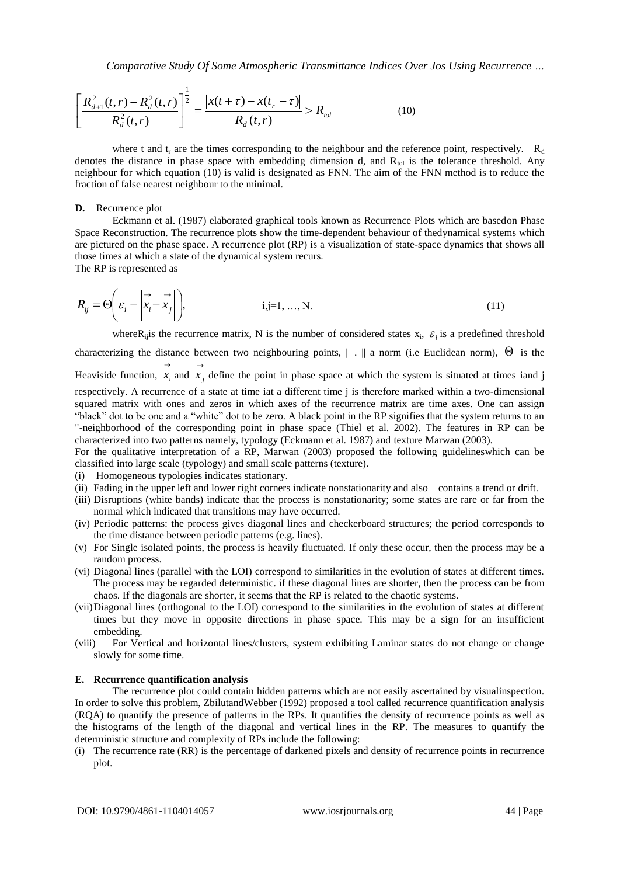$$
\left[\frac{R_{d+1}^{2}(t,r)-R_{d}^{2}(t,r)}{R_{d}^{2}(t,r)}\right]^{\frac{1}{2}}=\frac{\left|x(t+\tau)-x(t_{r}-\tau)\right|}{R_{d}(t,r)}>R_{tol}
$$
\n(10)

where t and t<sub>r</sub> are the times corresponding to the neighbour and the reference point, respectively.  $R_d$ denotes the distance in phase space with embedding dimension d, and  $R_{tol}$  is the tolerance threshold. Any neighbour for which equation (10) is valid is designated as FNN. The aim of the FNN method is to reduce the fraction of false nearest neighbour to the minimal.

# **D.** Recurrence plot

Eckmann et al. (1987) elaborated graphical tools known as Recurrence Plots which are basedon Phase Space Reconstruction. The recurrence plots show the time-dependent behaviour of thedynamical systems which are pictured on the phase space. A recurrence plot (RP) is a visualization of state-space dynamics that shows all those times at which a state of the dynamical system recurs.

The RP is represented as

$$
R_{ij} = \Theta\left(\varepsilon_i - \left\| \vec{x}_i - \vec{x}_j \right\| \right), \qquad i, j = 1, ..., N. \tag{11}
$$

where  $R_{ij}$  is the recurrence matrix, N is the number of considered states  $x_i$ ,  $\varepsilon_i$  is a predefined threshold characterizing the distance between two neighbouring points,  $\|\cdot\|$  a norm (i.e Euclidean norm),  $\Theta$  is the Heaviside function,  $\rightarrow$  $x_i$  and  $\rightarrow$  $x_j$  define the point in phase space at which the system is situated at times iand j

respectively. A recurrence of a state at time iat a different time j is therefore marked within a two-dimensional squared matrix with ones and zeros in which axes of the recurrence matrix are time axes. One can assign "black" dot to be one and a "white" dot to be zero. A black point in the RP signifies that the system returns to an "-neighborhood of the corresponding point in phase space (Thiel et al. 2002). The features in RP can be characterized into two patterns namely, typology (Eckmann et al. 1987) and texture Marwan (2003).

For the qualitative interpretation of a RP, Marwan (2003) proposed the following guidelineswhich can be classified into large scale (typology) and small scale patterns (texture).

- (i) Homogeneous typologies indicates stationary.
- (ii) Fading in the upper left and lower right corners indicate nonstationarity and also contains a trend or drift.
- (iii) Disruptions (white bands) indicate that the process is nonstationarity; some states are rare or far from the normal which indicated that transitions may have occurred.
- (iv) Periodic patterns: the process gives diagonal lines and checkerboard structures; the period corresponds to the time distance between periodic patterns (e.g. lines).
- (v) For Single isolated points, the process is heavily fluctuated. If only these occur, then the process may be a random process.
- (vi) Diagonal lines (parallel with the LOI) correspond to similarities in the evolution of states at different times. The process may be regarded deterministic. if these diagonal lines are shorter, then the process can be from chaos. If the diagonals are shorter, it seems that the RP is related to the chaotic systems.
- (vii)Diagonal lines (orthogonal to the LOI) correspond to the similarities in the evolution of states at different times but they move in opposite directions in phase space. This may be a sign for an insufficient embedding.
- (viii) For Vertical and horizontal lines/clusters, system exhibiting Laminar states do not change or change slowly for some time.

# **E. Recurrence quantification analysis**

The recurrence plot could contain hidden patterns which are not easily ascertained by visualinspection. In order to solve this problem, ZbilutandWebber (1992) proposed a tool called recurrence quantification analysis (RQA) to quantify the presence of patterns in the RPs. It quantifies the density of recurrence points as well as the histograms of the length of the diagonal and vertical lines in the RP. The measures to quantify the deterministic structure and complexity of RPs include the following:

(i) The recurrence rate (RR) is the percentage of darkened pixels and density of recurrence points in recurrence plot.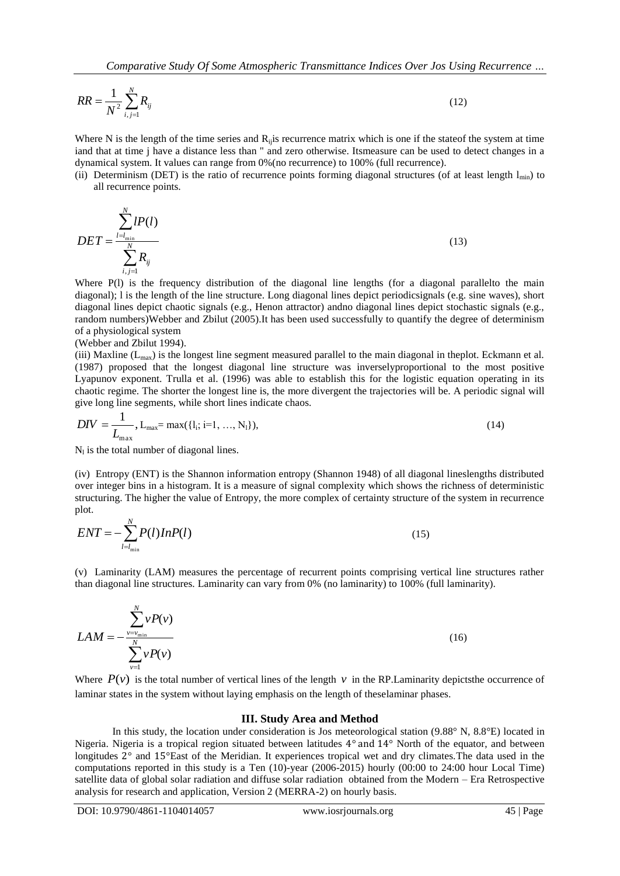$$
RR = \frac{1}{N^2} \sum_{i,j=1}^{N} R_{ij}
$$
 (12)

Where N is the length of the time series and  $R<sub>ii</sub>$  is recurrence matrix which is one if the stateof the system at time iand that at time j have a distance less than " and zero otherwise. Itsmeasure can be used to detect changes in a dynamical system. It values can range from 0%(no recurrence) to 100% (full recurrence).

(ii) Determinism (DET) is the ratio of recurrence points forming diagonal structures (of at least length  $l_{\text{min}}$ ) to all recurrence points.

$$
DET = \frac{\sum_{l=l_{\min}}^{N} lP(l)}{\sum_{i,j=1}^{N} R_{ij}}
$$
\n(13)

Where P(1) is the frequency distribution of the diagonal line lengths (for a diagonal parallelto the main diagonal); l is the length of the line structure. Long diagonal lines depict periodicsignals (e.g. sine waves), short diagonal lines depict chaotic signals (e.g., Henon attractor) andno diagonal lines depict stochastic signals (e.g., random numbers)Webber and Zbilut (2005).It has been used successfully to quantify the degree of determinism of a physiological system

#### (Webber and Zbilut 1994).

(iii) Maxline  $(L_{\text{max}})$  is the longest line segment measured parallel to the main diagonal in theplot. Eckmann et al. (1987) proposed that the longest diagonal line structure was inverselyproportional to the most positive Lyapunov exponent. Trulla et al. (1996) was able to establish this for the logistic equation operating in its chaotic regime. The shorter the longest line is, the more divergent the trajectories will be. A periodic signal will give long line segments, while short lines indicate chaos.

$$
DIV = \frac{1}{L_{\text{max}}}, L_{\text{max}} = \max(\{l_i; i=1, ..., N_l\}),
$$
\n(14)

 $N<sub>l</sub>$  is the total number of diagonal lines.

(iv) Entropy (ENT) is the Shannon information entropy (Shannon 1948) of all diagonal lineslengths distributed over integer bins in a histogram. It is a measure of signal complexity which shows the richness of deterministic structuring. The higher the value of Entropy, the more complex of certainty structure of the system in recurrence plot.

$$
ENT = -\sum_{l=l_{\min}}^{N} P(l) In P(l)
$$
\n(15)

(v) Laminarity (LAM) measures the percentage of recurrent points comprising vertical line structures rather than diagonal line structures. Laminarity can vary from 0% (no laminarity) to 100% (full laminarity).

$$
LAM = -\frac{\sum_{v=v_{\min}}^{N} vP(v)}{\sum_{v=1}^{N} vP(v)}
$$
\n(16)

Where  $P(v)$  is the total number of vertical lines of the length v in the RP. Laminarity depicts the occurrence of laminar states in the system without laying emphasis on the length of theselaminar phases.

#### **III. Study Area and Method**

In this study, the location under consideration is Jos meteorological station (9.88° N, 8.8°E) located in Nigeria. Nigeria is a tropical region situated between latitudes 4° and 14° North of the equator, and between longitudes 2° and 15°East of the Meridian. It experiences tropical wet and dry climates.The data used in the computations reported in this study is a Ten (10)-year (2006-2015) hourly (00:00 to 24:00 hour Local Time) satellite data of global solar radiation and diffuse solar radiation obtained from the Modern – Era Retrospective analysis for research and application, Version 2 (MERRA-2) on hourly basis.

DOI: 10.9790/4861-1104014057 www.iosrjournals.org 45 | Page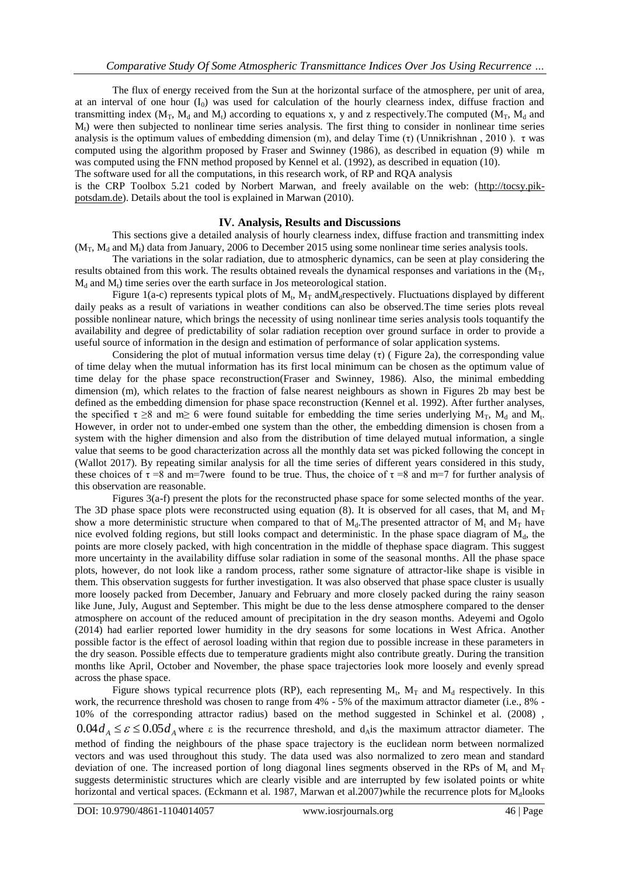The flux of energy received from the Sun at the horizontal surface of the atmosphere, per unit of area, at an interval of one hour  $(I_0)$  was used for calculation of the hourly clearness index, diffuse fraction and transmitting index  $(M_T, M_d$  and  $M_t$ ) according to equations x, y and z respectively. The computed  $(M_T, M_d$  and  $M<sub>t</sub>$ ) were then subjected to nonlinear time series analysis. The first thing to consider in nonlinear time series analysis is the optimum values of embedding dimension (m), and delay Time (τ) (Unnikrishnan, 2010). τ was computed using the algorithm proposed by Fraser and Swinney (1986), as described in equation (9) while m was computed using the FNN method proposed by Kennel et al. (1992), as described in equation (10).

The software used for all the computations, in this research work, of RP and RQA analysis

is the CRP Toolbox 5.21 coded by Norbert Marwan, and freely available on the web: [\(http://tocsy.pik](http://tocsy.pik-potsdam.de/)[potsdam.de\)](http://tocsy.pik-potsdam.de/). Details about the tool is explained in Marwan (2010).

# **IV. Analysis, Results and Discussions**

This sections give a detailed analysis of hourly clearness index, diffuse fraction and transmitting index  $(M_T, M_d$  and  $M_t$ ) data from January, 2006 to December 2015 using some nonlinear time series analysis tools.

The variations in the solar radiation, due to atmospheric dynamics, can be seen at play considering the results obtained from this work. The results obtained reveals the dynamical responses and variations in the  $(M_T)$  $M_d$  and  $M_t$ ) time series over the earth surface in Jos meteorological station.

Figure 1(a-c) represents typical plots of  $M_t$ ,  $M_T$  and  $M_d$  respectively. Fluctuations displayed by different daily peaks as a result of variations in weather conditions can also be observed.The time series plots reveal possible nonlinear nature, which brings the necessity of using nonlinear time series analysis tools toquantify the availability and degree of predictability of solar radiation reception over ground surface in order to provide a useful source of information in the design and estimation of performance of solar application systems.

Considering the plot of mutual information versus time delay  $(\tau)$  (Figure 2a), the corresponding value of time delay when the mutual information has its first local minimum can be chosen as the optimum value of time delay for the phase space reconstruction(Fraser and Swinney, 1986). Also, the minimal embedding dimension (m), which relates to the fraction of false nearest neighbours as shown in Figures 2b may best be defined as the embedding dimension for phase space reconstruction (Kennel et al. 1992). After further analyses, the specified  $\tau \ge 8$  and m $\ge 6$  were found suitable for embedding the time series underlying M<sub>T</sub>, M<sub>d</sub> and M<sub>t</sub>. However, in order not to under-embed one system than the other, the embedding dimension is chosen from a system with the higher dimension and also from the distribution of time delayed mutual information, a single value that seems to be good characterization across all the monthly data set was picked following the concept in (Wallot 2017). By repeating similar analysis for all the time series of different years considered in this study, these choices of  $\tau = 8$  and m=7were found to be true. Thus, the choice of  $\tau = 8$  and m=7 for further analysis of this observation are reasonable.

Figures 3(a-f) present the plots for the reconstructed phase space for some selected months of the year. The 3D phase space plots were reconstructed using equation (8). It is observed for all cases, that  $M_t$  and  $M_T$ show a more deterministic structure when compared to that of  $M_d$ . The presented attractor of  $M_t$ , and  $M_T$  have nice evolved folding regions, but still looks compact and deterministic. In the phase space diagram of  $M<sub>d</sub>$ , the points are more closely packed, with high concentration in the middle of thephase space diagram. This suggest more uncertainty in the availability diffuse solar radiation in some of the seasonal months. All the phase space plots, however, do not look like a random process, rather some signature of attractor-like shape is visible in them. This observation suggests for further investigation. It was also observed that phase space cluster is usually more loosely packed from December, January and February and more closely packed during the rainy season like June, July, August and September. This might be due to the less dense atmosphere compared to the denser atmosphere on account of the reduced amount of precipitation in the dry season months. Adeyemi and Ogolo (2014) had earlier reported lower humidity in the dry seasons for some locations in West Africa. Another possible factor is the effect of aerosol loading within that region due to possible increase in these parameters in the dry season. Possible effects due to temperature gradients might also contribute greatly. During the transition months like April, October and November, the phase space trajectories look more loosely and evenly spread across the phase space.

Figure shows typical recurrence plots (RP), each representing  $M_t$ ,  $M_T$  and  $M_d$  respectively. In this work, the recurrence threshold was chosen to range from  $4\%$  - 5% of the maximum attractor diameter (i.e., 8% -10% of the corresponding attractor radius) based on the method suggested in Schinkel et al. (2008) ,  $0.04 d_A \leq \varepsilon \leq 0.05 d_A$  where  $\varepsilon$  is the recurrence threshold, and d<sub>A</sub> is the maximum attractor diameter. The method of finding the neighbours of the phase space trajectory is the euclidean norm between normalized vectors and was used throughout this study. The data used was also normalized to zero mean and standard deviation of one. The increased portion of long diagonal lines segments observed in the RPs of  $M_t$  and  $M_T$ suggests deterministic structures which are clearly visible and are interrupted by few isolated points or white horizontal and vertical spaces. (Eckmann et al. 1987, Marwan et al. 2007) while the recurrence plots for  $M_d$ looks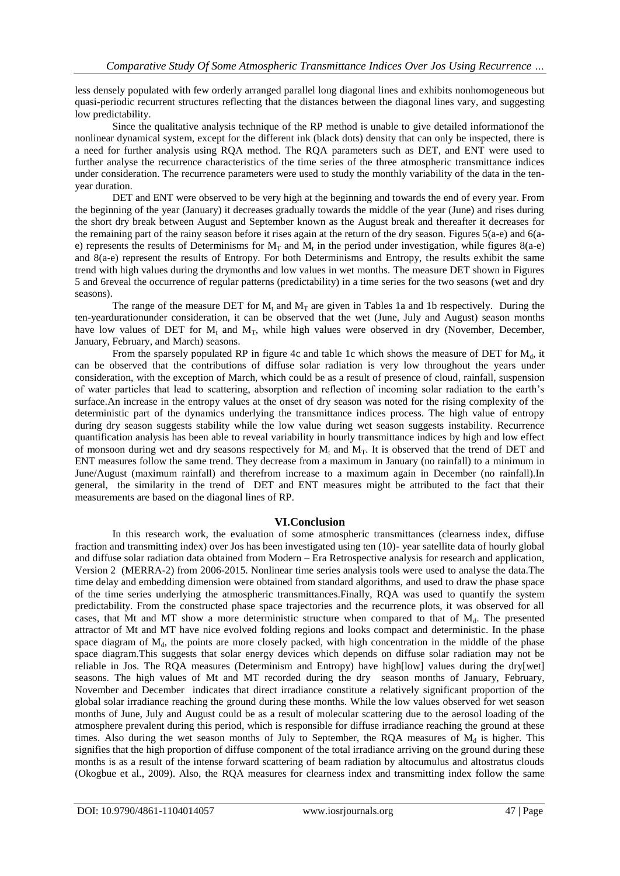less densely populated with few orderly arranged parallel long diagonal lines and exhibits nonhomogeneous but quasi-periodic recurrent structures reflecting that the distances between the diagonal lines vary, and suggesting low predictability.

Since the qualitative analysis technique of the RP method is unable to give detailed informationof the nonlinear dynamical system, except for the different ink (black dots) density that can only be inspected, there is a need for further analysis using RQA method. The RQA parameters such as DET, and ENT were used to further analyse the recurrence characteristics of the time series of the three atmospheric transmittance indices under consideration. The recurrence parameters were used to study the monthly variability of the data in the tenyear duration.

DET and ENT were observed to be very high at the beginning and towards the end of every year. From the beginning of the year (January) it decreases gradually towards the middle of the year (June) and rises during the short dry break between August and September known as the August break and thereafter it decreases for the remaining part of the rainy season before it rises again at the return of the dry season. Figures 5(a-e) and 6(ae) represents the results of Determinisms for  $M_T$  and  $M_t$  in the period under investigation, while figures 8(a-e) and 8(a-e) represent the results of Entropy. For both Determinisms and Entropy, the results exhibit the same trend with high values during the drymonths and low values in wet months. The measure DET shown in Figures 5 and 6reveal the occurrence of regular patterns (predictability) in a time series for the two seasons (wet and dry seasons).

The range of the measure DET for  $M_t$  and  $M_T$  are given in Tables 1a and 1b respectively. During the ten-yeardurationunder consideration, it can be observed that the wet (June, July and August) season months have low values of DET for  $M_t$ , and  $M_T$ , while high values were observed in dry (November, December, January, February, and March) seasons.

From the sparsely populated RP in figure 4c and table 1c which shows the measure of DET for  $M<sub>d</sub>$ , it can be observed that the contributions of diffuse solar radiation is very low throughout the years under consideration, with the exception of March, which could be as a result of presence of cloud, rainfall, suspension of water particles that lead to scattering, absorption and reflection of incoming solar radiation to the earth's surface.An increase in the entropy values at the onset of dry season was noted for the rising complexity of the deterministic part of the dynamics underlying the transmittance indices process. The high value of entropy during dry season suggests stability while the low value during wet season suggests instability. Recurrence quantification analysis has been able to reveal variability in hourly transmittance indices by high and low effect of monsoon during wet and dry seasons respectively for  $M_t$  and  $M_T$ . It is observed that the trend of DET and ENT measures follow the same trend. They decrease from a maximum in January (no rainfall) to a minimum in June/August (maximum rainfall) and therefrom increase to a maximum again in December (no rainfall).In general, the similarity in the trend of DET and ENT measures might be attributed to the fact that their measurements are based on the diagonal lines of RP.

# **VI.Conclusion**

In this research work, the evaluation of some atmospheric transmittances (clearness index, diffuse fraction and transmitting index) over Jos has been investigated using ten (10)- year satellite data of hourly global and diffuse solar radiation data obtained from Modern – Era Retrospective analysis for research and application, Version 2 (MERRA-2) from 2006-2015. Nonlinear time series analysis tools were used to analyse the data.The time delay and embedding dimension were obtained from standard algorithms, and used to draw the phase space of the time series underlying the atmospheric transmittances.Finally, RQA was used to quantify the system predictability. From the constructed phase space trajectories and the recurrence plots, it was observed for all cases, that Mt and MT show a more deterministic structure when compared to that of  $M_d$ . The presented attractor of Mt and MT have nice evolved folding regions and looks compact and deterministic. In the phase space diagram of  $M<sub>d</sub>$ , the points are more closely packed, with high concentration in the middle of the phase space diagram.This suggests that solar energy devices which depends on diffuse solar radiation may not be reliable in Jos. The RQA measures (Determinism and Entropy) have high[low] values during the dry[wet] seasons. The high values of Mt and MT recorded during the dry season months of January, February, November and December indicates that direct irradiance constitute a relatively significant proportion of the global solar irradiance reaching the ground during these months. While the low values observed for wet season months of June, July and August could be as a result of molecular scattering due to the aerosol loading of the atmosphere prevalent during this period, which is responsible for diffuse irradiance reaching the ground at these times. Also during the wet season months of July to September, the RQA measures of  $M_d$  is higher. This signifies that the high proportion of diffuse component of the total irradiance arriving on the ground during these months is as a result of the intense forward scattering of beam radiation by altocumulus and altostratus clouds (Okogbue et al., 2009). Also, the RQA measures for clearness index and transmitting index follow the same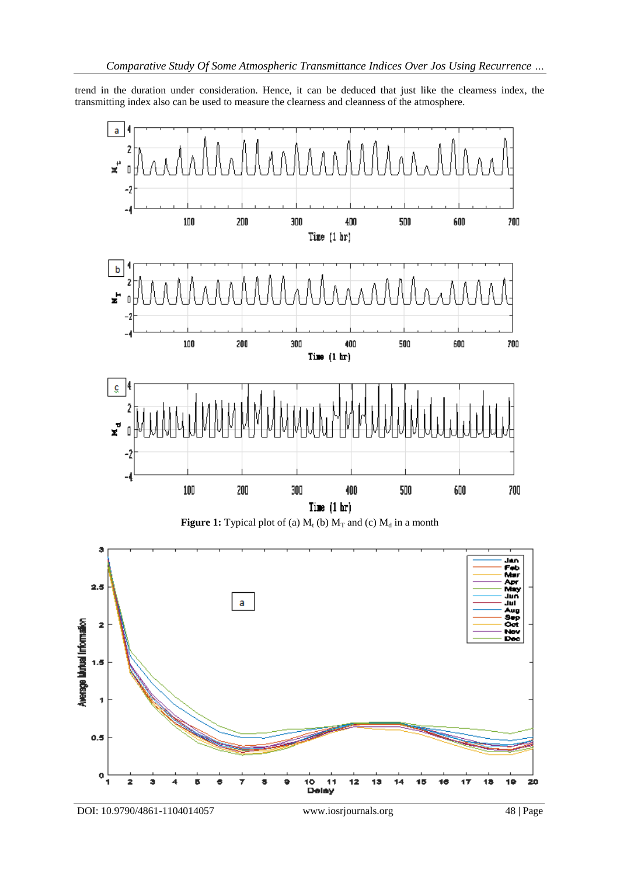trend in the duration under consideration. Hence, it can be deduced that just like the clearness index, the transmitting index also can be used to measure the clearness and cleanness of the atmosphere.

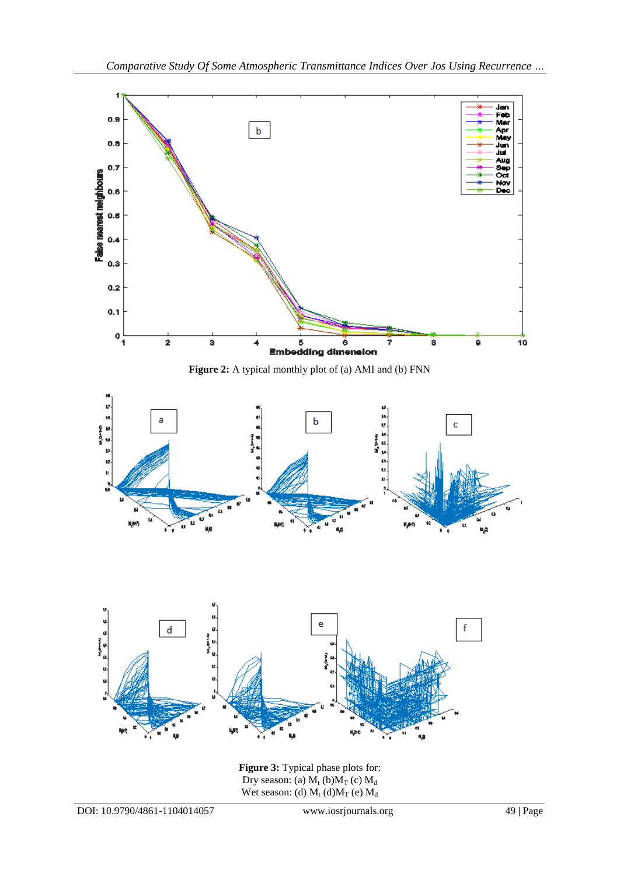

**Figure 3:** Typical phase plots for: Dry season: (a)  $M_t$  (b) $M_T$  (c)  $M_d$ Wet season: (d)  $M_t$  (d) $M_T$  (e)  $M_d$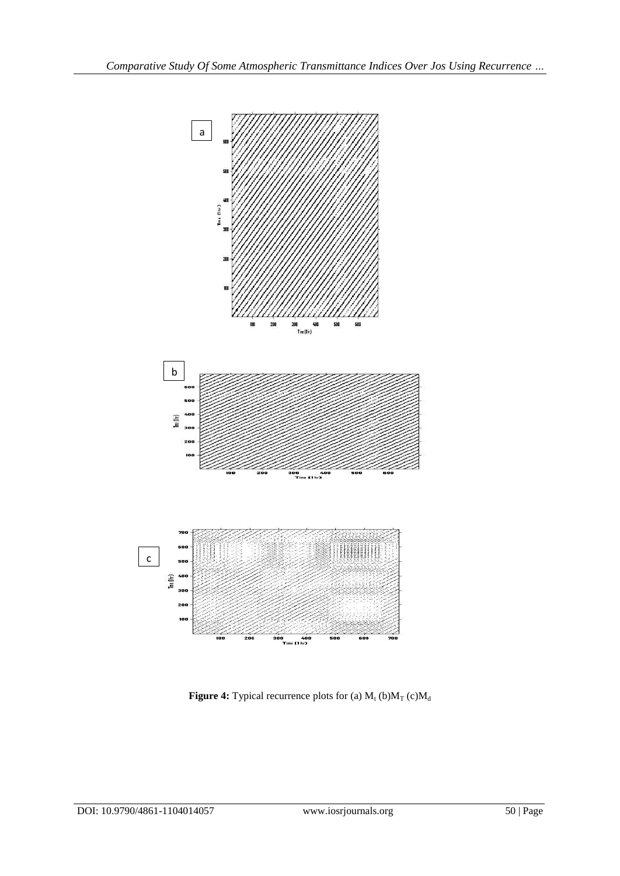

**Figure 4:** Typical recurrence plots for (a)  $M_t$  (b) $M_T$  (c) $M_d$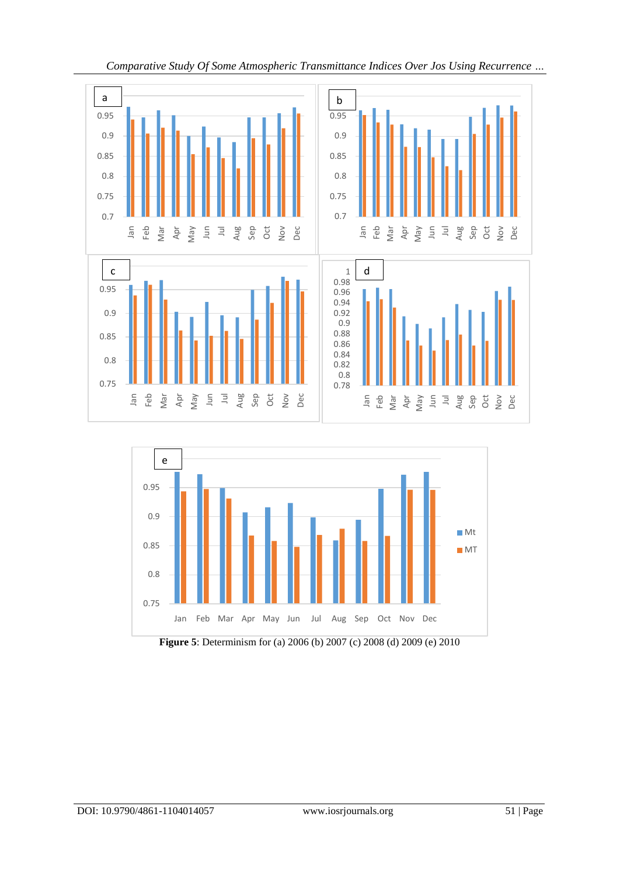



**Figure 5**: Determinism for (a) 2006 (b) 2007 (c) 2008 (d) 2009 (e) 2010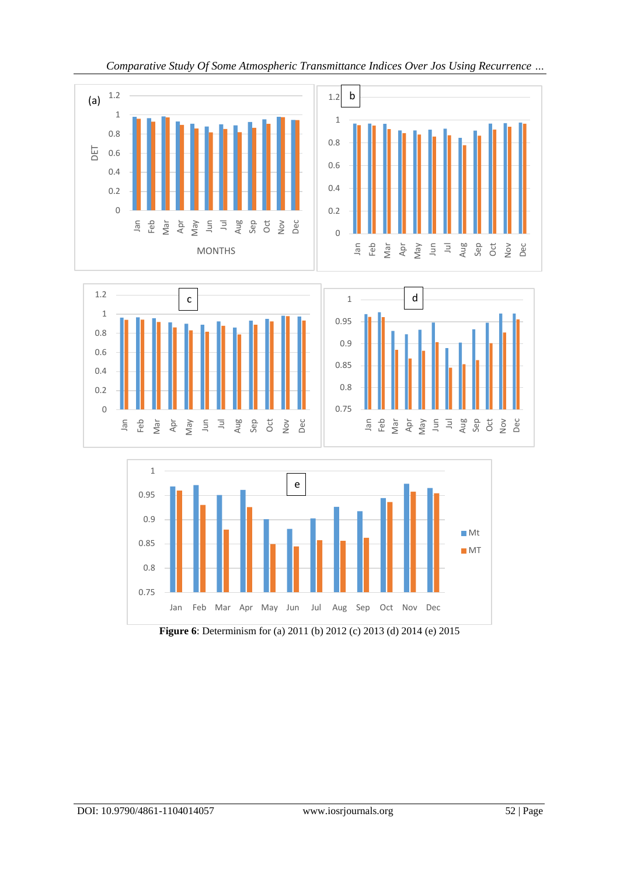







**Figure 6**: Determinism for (a) 2011 (b) 2012 (c) 2013 (d) 2014 (e) 2015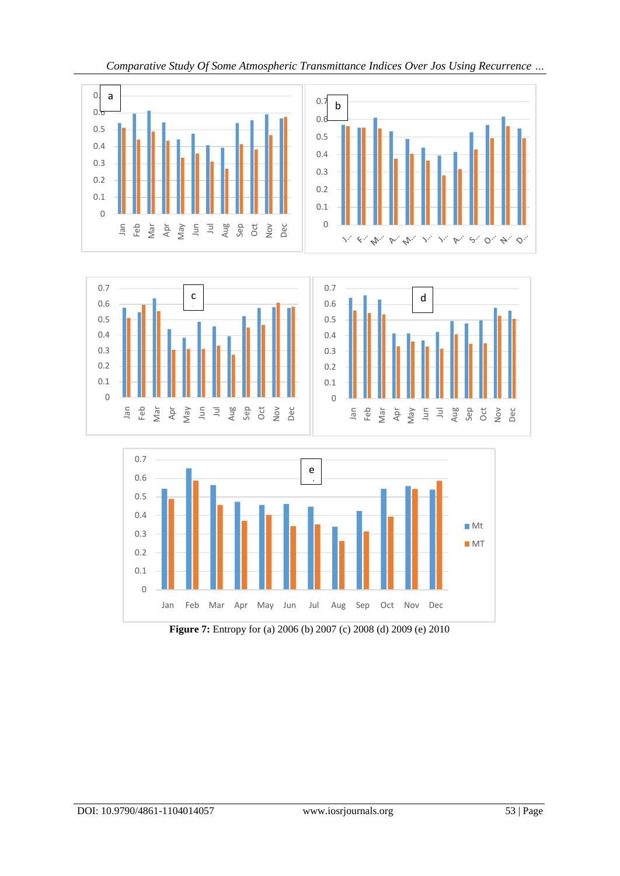





**Figure 7:** Entropy for (a) 2006 (b) 2007 (c) 2008 (d) 2009 (e) 2010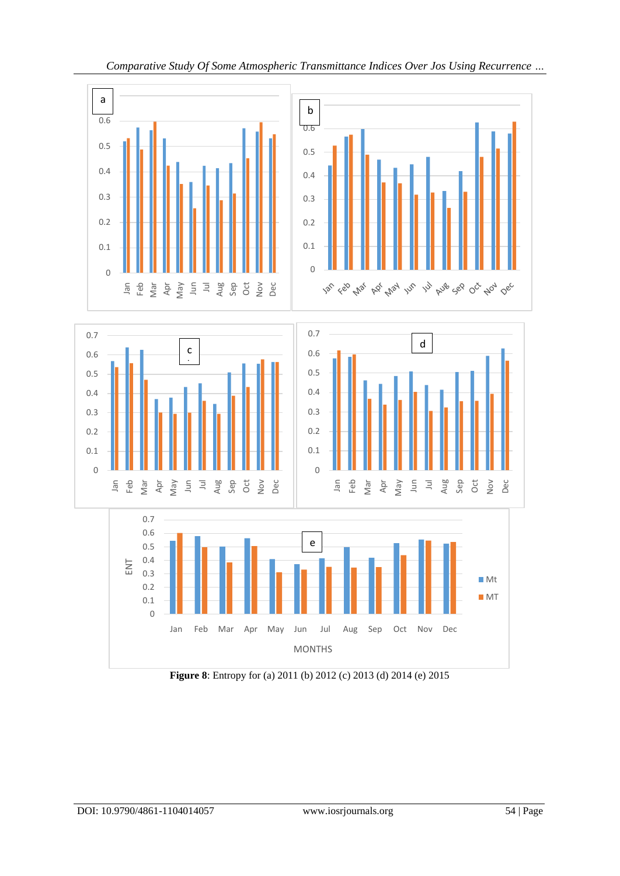

**Figure 8**: Entropy for (a) 2011 (b) 2012 (c) 2013 (d) 2014 (e) 2015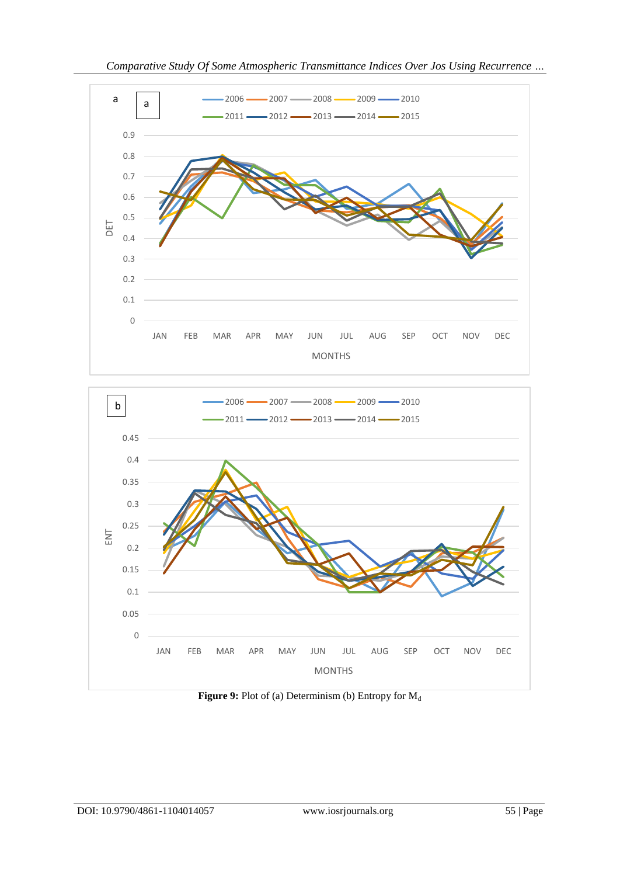



**Figure 9:** Plot of (a) Determinism (b) Entropy for  $M_d$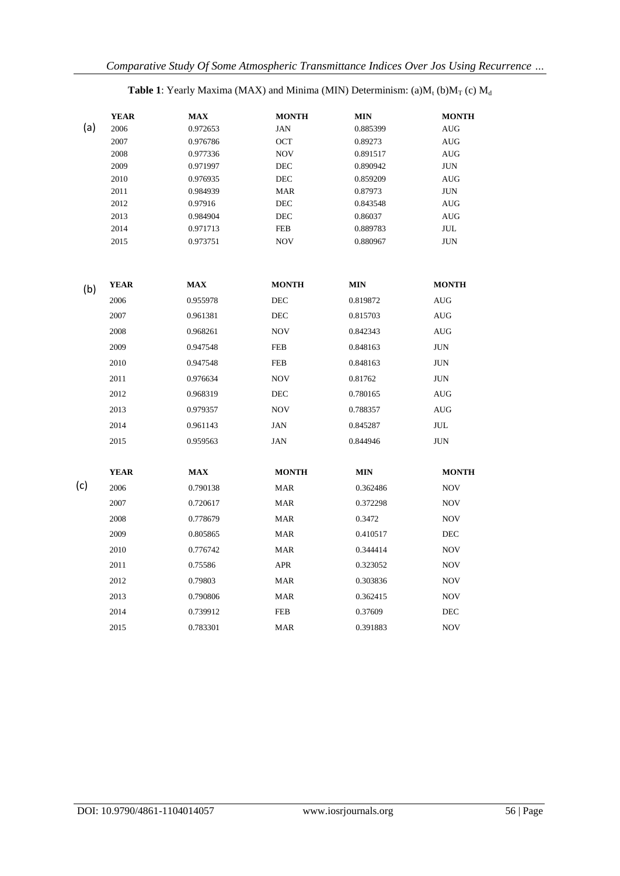# **Table 1**: Yearly Maxima (MAX) and Minima (MIN) Determinism: (a) $M_t$  (b) $M_T$  (c)  $M_d$

| <b>MONTH</b>              | <b>MIN</b> | <b>MONTH</b> | <b>MAX</b> | <b>YEAR</b> |     |
|---------------------------|------------|--------------|------------|-------------|-----|
| <b>AUG</b>                | 0.885399   | JAN          | 0.972653   | 2006        | (a) |
| <b>AUG</b>                | 0.89273    | OCT          | 0.976786   | 2007        |     |
| AUG                       | 0.891517   | <b>NOV</b>   | 0.977336   | 2008        |     |
| JUN                       | 0.890942   | DEC          | 0.971997   | 2009        |     |
| <b>AUG</b>                | 0.859209   | DEC          | 0.976935   | 2010        |     |
| JUN                       | 0.87973    | MAR          | 0.984939   | 2011        |     |
| AUG                       | 0.843548   | DEC          | 0.97916    | 2012        |     |
| <b>AUG</b>                | 0.86037    | DEC          | 0.984904   | 2013        |     |
| JUL                       | 0.889783   | <b>FEB</b>   | 0.971713   | 2014        |     |
| JUN                       | 0.880967   | <b>NOV</b>   | 0.973751   | 2015        |     |
| <b>MONTH</b>              | <b>MIN</b> | <b>MONTH</b> | <b>MAX</b> | <b>YEAR</b> | (b) |
| <b>AUG</b>                | 0.819872   | DEC          | 0.955978   | 2006        |     |
| AUG                       | 0.815703   | DEC          | 0.961381   | 2007        |     |
| <b>AUG</b>                | 0.842343   | <b>NOV</b>   | 0.968261   | 2008        |     |
| <b>JUN</b>                | 0.848163   | <b>FEB</b>   | 0.947548   | 2009        |     |
| JUN                       | 0.848163   | FEB          | 0.947548   | 2010        |     |
| <b>JUN</b>                | 0.81762    | <b>NOV</b>   | 0.976634   | 2011        |     |
| <b>AUG</b>                | 0.780165   | DEC          | 0.968319   | 2012        |     |
| <b>AUG</b>                | 0.788357   | <b>NOV</b>   | 0.979357   | 2013        |     |
| $\ensuremath{\text{JUL}}$ | 0.845287   | <b>JAN</b>   | 0.961143   | 2014        |     |
| <b>JUN</b>                | 0.844946   | JAN          | 0.959563   | 2015        |     |
| <b>MONTH</b>              | <b>MIN</b> | <b>MONTH</b> | <b>MAX</b> | <b>YEAR</b> |     |
| <b>NOV</b>                | 0.362486   | <b>MAR</b>   | 0.790138   | 2006        | (c) |
| NOV                       | 0.372298   | MAR          | 0.720617   | 2007        |     |
| <b>NOV</b>                | 0.3472     | <b>MAR</b>   | 0.778679   | 2008        |     |
| DEC                       | 0.410517   | <b>MAR</b>   | 0.805865   | 2009        |     |
| <b>NOV</b>                | 0.344414   | MAR          | 0.776742   | 2010        |     |
| <b>NOV</b>                | 0.323052   | APR          | 0.75586    | 2011        |     |
| <b>NOV</b>                | 0.303836   | <b>MAR</b>   | 0.79803    | 2012        |     |
| <b>NOV</b>                | 0.362415   | <b>MAR</b>   | 0.790806   | 2013        |     |
| DEC                       | 0.37609    | <b>FEB</b>   | 0.739912   | 2014        |     |
| <b>NOV</b>                | 0.391883   | <b>MAR</b>   | 0.783301   | 2015        |     |
|                           |            |              |            |             |     |